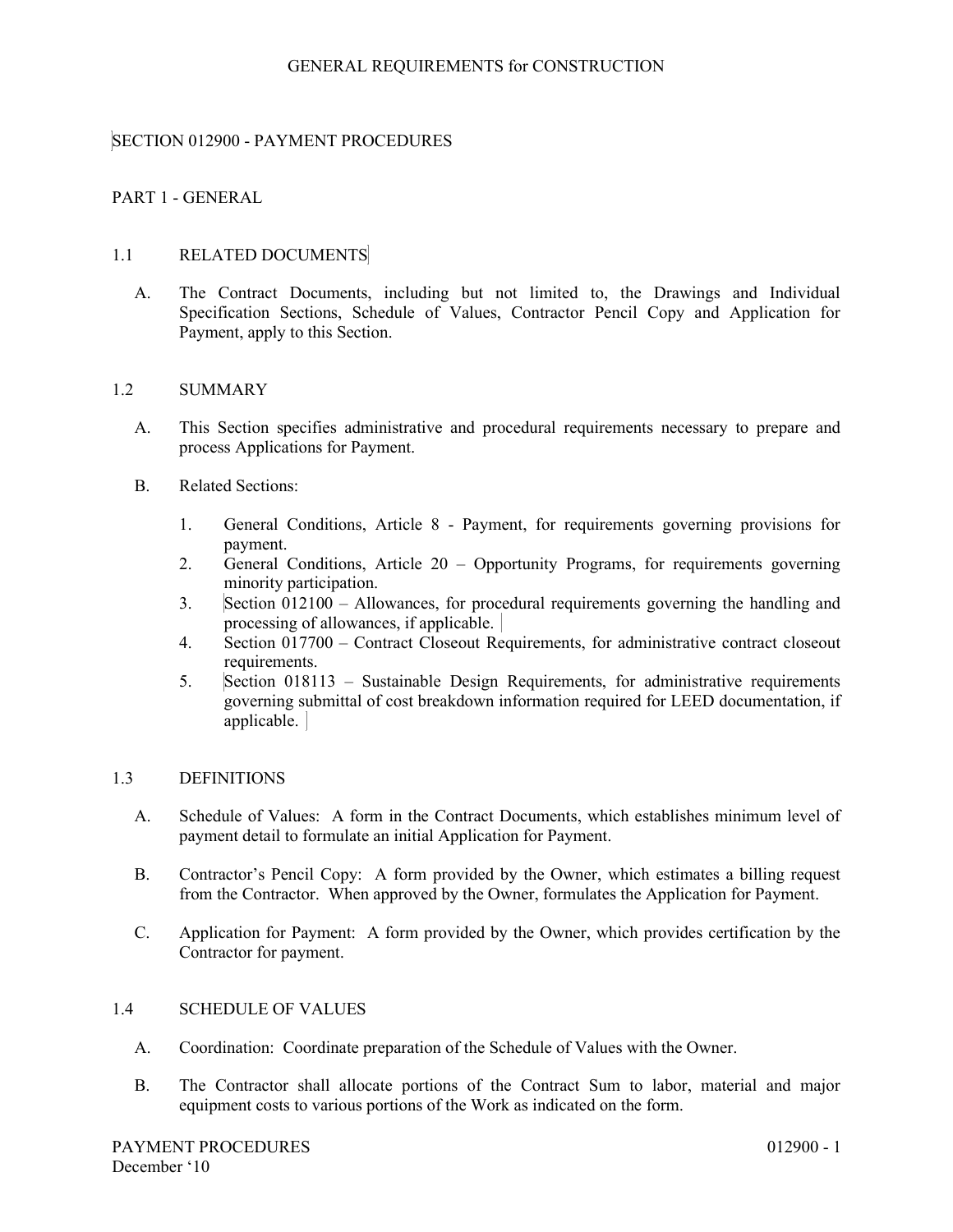## SECTION 012900 - PAYMENT PROCEDURES

## PART 1 - GENERAL

#### 1.1 RELATED DOCUMENTS

A. The Contract Documents, including but not limited to, the Drawings and Individual Specification Sections, Schedule of Values, Contractor Pencil Copy and Application for Payment, apply to this Section.

#### 1.2 SUMMARY

- A. This Section specifies administrative and procedural requirements necessary to prepare and process Applications for Payment.
- B. Related Sections:
	- 1. General Conditions, Article 8 Payment, for requirements governing provisions for payment.
	- 2. General Conditions, Article 20 Opportunity Programs, for requirements governing minority participation.
	- 3. Section 012100 Allowances, for procedural requirements governing the handling and processing of allowances, if applicable.
	- 4. Section 017700 Contract Closeout Requirements, for administrative contract closeout requirements.
	- 5. Section 018113 Sustainable Design Requirements, for administrative requirements governing submittal of cost breakdown information required for LEED documentation, if applicable.

## 1.3 DEFINITIONS

- A. Schedule of Values: A form in the Contract Documents, which establishes minimum level of payment detail to formulate an initial Application for Payment.
- B. Contractor's Pencil Copy: A form provided by the Owner, which estimates a billing request from the Contractor. When approved by the Owner, formulates the Application for Payment.
- C. Application for Payment: A form provided by the Owner, which provides certification by the Contractor for payment.

# 1.4 SCHEDULE OF VALUES

- A. Coordination: Coordinate preparation of the Schedule of Values with the Owner.
- B. The Contractor shall allocate portions of the Contract Sum to labor, material and major equipment costs to various portions of the Work as indicated on the form.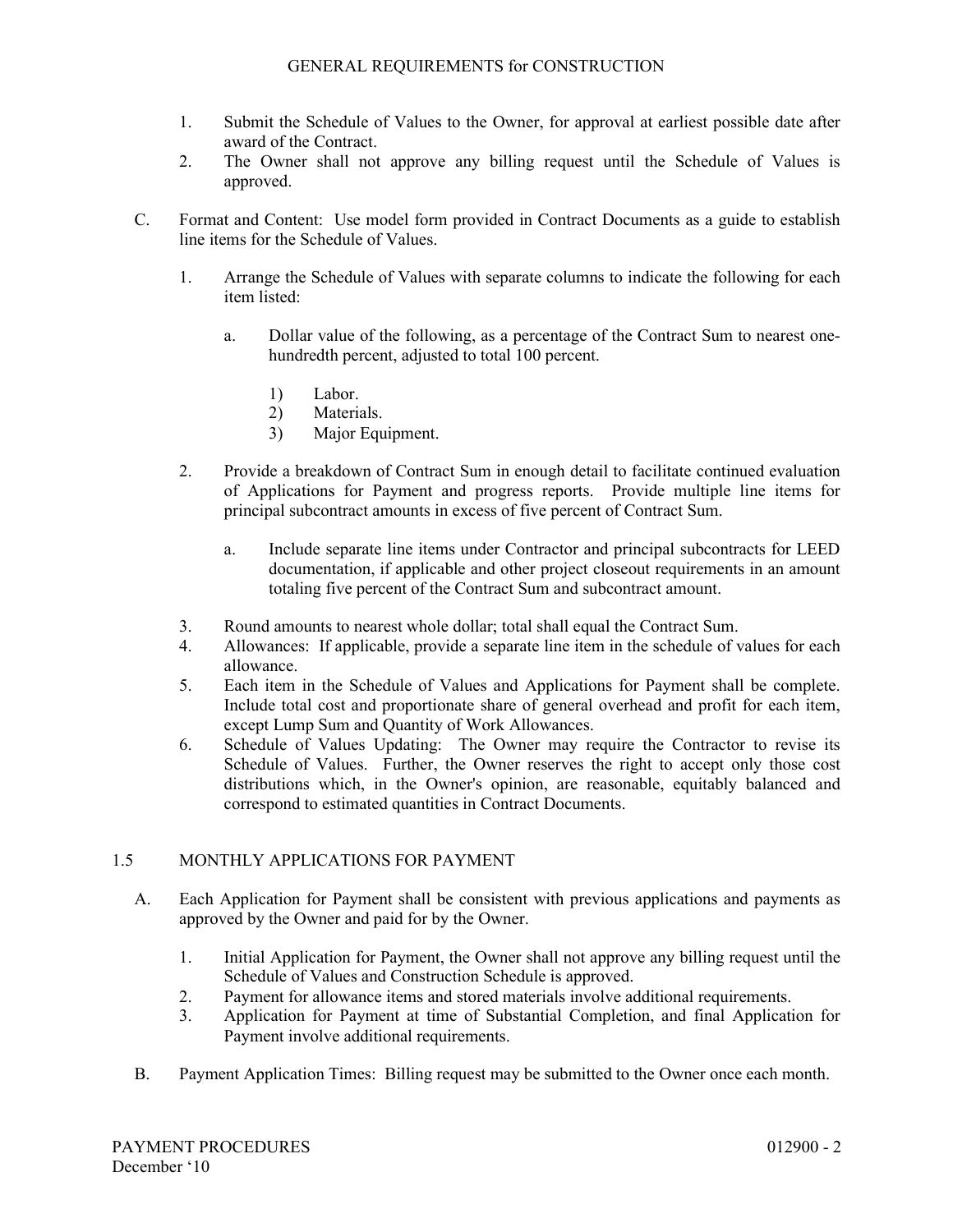- 1. Submit the Schedule of Values to the Owner, for approval at earliest possible date after award of the Contract.
- 2. The Owner shall not approve any billing request until the Schedule of Values is approved.
- C. Format and Content: Use model form provided in Contract Documents as a guide to establish line items for the Schedule of Values.
	- 1. Arrange the Schedule of Values with separate columns to indicate the following for each item listed:
		- a. Dollar value of the following, as a percentage of the Contract Sum to nearest onehundredth percent, adjusted to total 100 percent.
			- 1) Labor.
			- 2) Materials.
			- 3) Major Equipment.
	- 2. Provide a breakdown of Contract Sum in enough detail to facilitate continued evaluation of Applications for Payment and progress reports. Provide multiple line items for principal subcontract amounts in excess of five percent of Contract Sum.
		- a. Include separate line items under Contractor and principal subcontracts for LEED documentation, if applicable and other project closeout requirements in an amount totaling five percent of the Contract Sum and subcontract amount.
	- 3. Round amounts to nearest whole dollar; total shall equal the Contract Sum.
	- 4. Allowances: If applicable, provide a separate line item in the schedule of values for each allowance.
	- 5. Each item in the Schedule of Values and Applications for Payment shall be complete. Include total cost and proportionate share of general overhead and profit for each item, except Lump Sum and Quantity of Work Allowances.
	- 6. Schedule of Values Updating: The Owner may require the Contractor to revise its Schedule of Values. Further, the Owner reserves the right to accept only those cost distributions which, in the Owner's opinion, are reasonable, equitably balanced and correspond to estimated quantities in Contract Documents.

# 1.5 MONTHLY APPLICATIONS FOR PAYMENT

- A. Each Application for Payment shall be consistent with previous applications and payments as approved by the Owner and paid for by the Owner.
	- 1. Initial Application for Payment, the Owner shall not approve any billing request until the Schedule of Values and Construction Schedule is approved.
	- 2. Payment for allowance items and stored materials involve additional requirements.
	- 3. Application for Payment at time of Substantial Completion, and final Application for Payment involve additional requirements.
- B. Payment Application Times: Billing request may be submitted to the Owner once each month.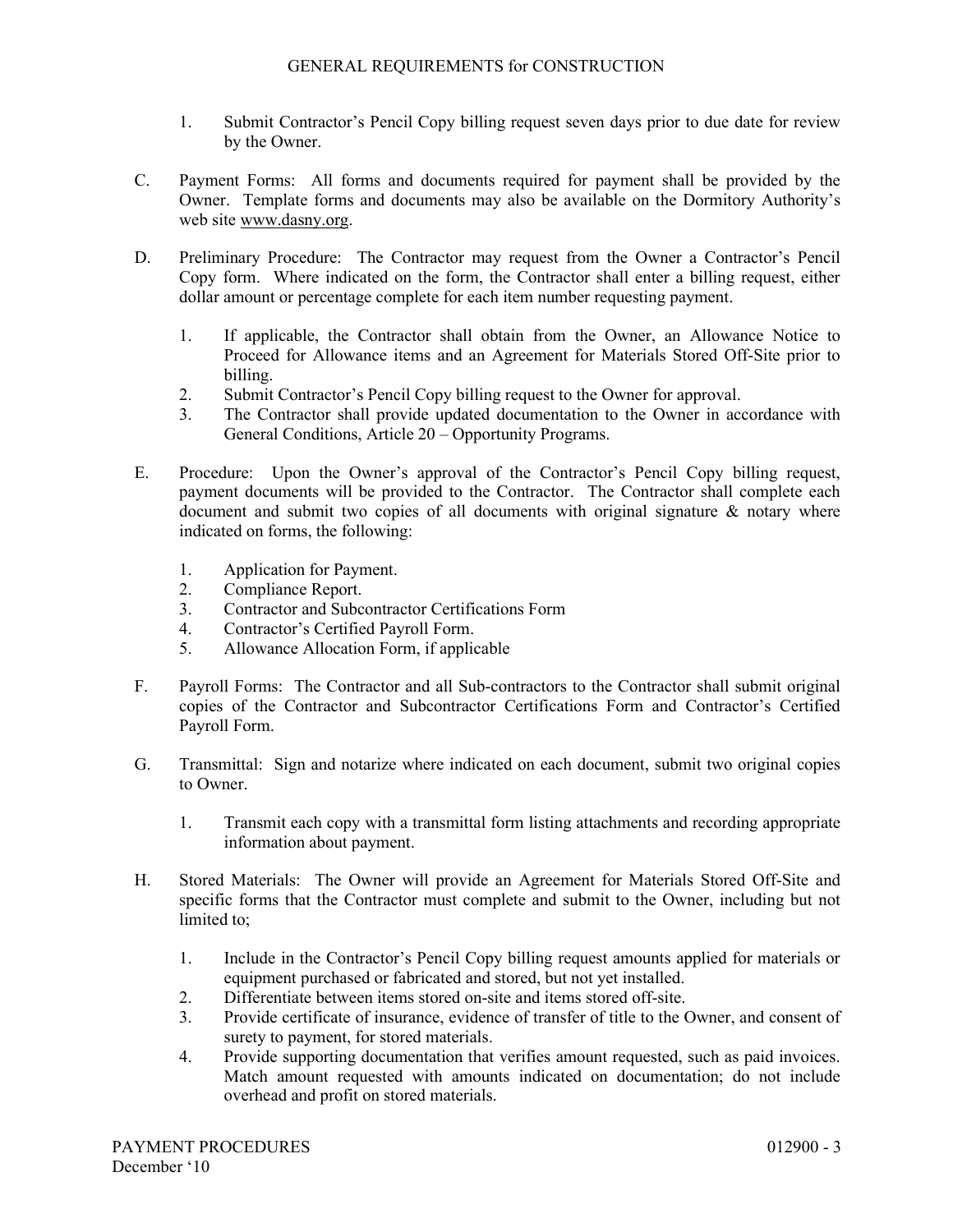- 1. Submit Contractor's Pencil Copy billing request seven days prior to due date for review by the Owner.
- C. Payment Forms: All forms and documents required for payment shall be provided by the Owner. Template forms and documents may also be available on the Dormitory Authority's web site www.dasny.org.
- D. Preliminary Procedure: The Contractor may request from the Owner a Contractor's Pencil Copy form. Where indicated on the form, the Contractor shall enter a billing request, either dollar amount or percentage complete for each item number requesting payment.
	- 1. If applicable, the Contractor shall obtain from the Owner, an Allowance Notice to Proceed for Allowance items and an Agreement for Materials Stored Off-Site prior to billing.
	- 2. Submit Contractor's Pencil Copy billing request to the Owner for approval.
	- 3. The Contractor shall provide updated documentation to the Owner in accordance with General Conditions, Article 20 – Opportunity Programs.
- E. Procedure: Upon the Owner's approval of the Contractor's Pencil Copy billing request, payment documents will be provided to the Contractor. The Contractor shall complete each document and submit two copies of all documents with original signature & notary where indicated on forms, the following:
	- 1. Application for Payment.
	- 2. Compliance Report.
	- 3. Contractor and Subcontractor Certifications Form
	- 4. Contractor's Certified Payroll Form.
	- 5. Allowance Allocation Form, if applicable
- F. Payroll Forms: The Contractor and all Sub-contractors to the Contractor shall submit original copies of the Contractor and Subcontractor Certifications Form and Contractor's Certified Payroll Form.
- G. Transmittal: Sign and notarize where indicated on each document, submit two original copies to Owner.
	- 1. Transmit each copy with a transmittal form listing attachments and recording appropriate information about payment.
- H. Stored Materials: The Owner will provide an Agreement for Materials Stored Off-Site and specific forms that the Contractor must complete and submit to the Owner, including but not limited to;
	- 1. Include in the Contractor's Pencil Copy billing request amounts applied for materials or equipment purchased or fabricated and stored, but not yet installed.
	- 2. Differentiate between items stored on-site and items stored off-site.
	- 3. Provide certificate of insurance, evidence of transfer of title to the Owner, and consent of surety to payment, for stored materials.
	- 4. Provide supporting documentation that verifies amount requested, such as paid invoices. Match amount requested with amounts indicated on documentation; do not include overhead and profit on stored materials.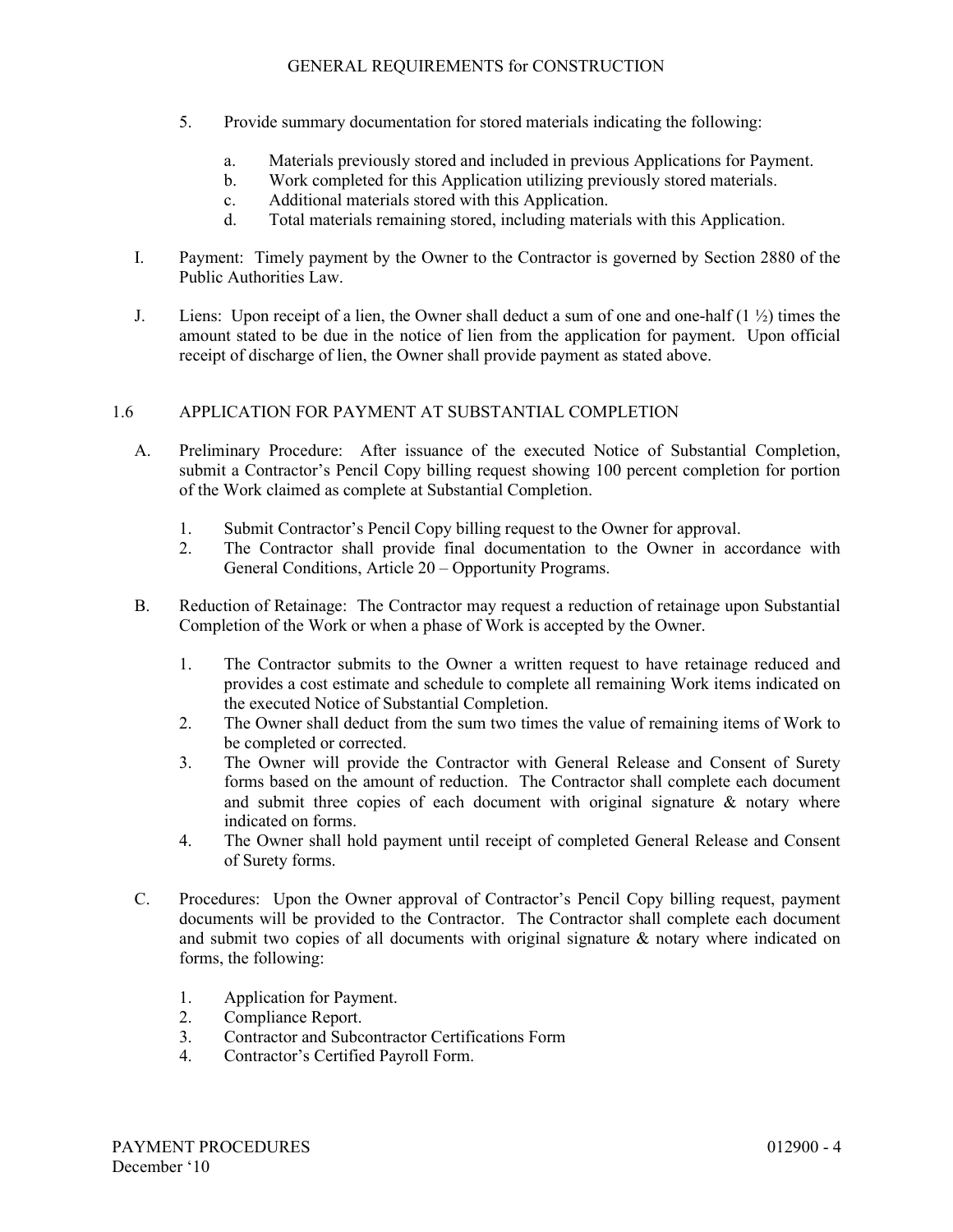- 5. Provide summary documentation for stored materials indicating the following:
	- a. Materials previously stored and included in previous Applications for Payment.
	- b. Work completed for this Application utilizing previously stored materials.
	- c. Additional materials stored with this Application.
	- d. Total materials remaining stored, including materials with this Application.
- I. Payment: Timely payment by the Owner to the Contractor is governed by Section 2880 of the Public Authorities Law.
- J. Liens: Upon receipt of a lien, the Owner shall deduct a sum of one and one-half  $(1 \frac{1}{2})$  times the amount stated to be due in the notice of lien from the application for payment. Upon official receipt of discharge of lien, the Owner shall provide payment as stated above.

# 1.6 APPLICATION FOR PAYMENT AT SUBSTANTIAL COMPLETION

- A. Preliminary Procedure: After issuance of the executed Notice of Substantial Completion, submit a Contractor's Pencil Copy billing request showing 100 percent completion for portion of the Work claimed as complete at Substantial Completion.
	- 1. Submit Contractor's Pencil Copy billing request to the Owner for approval.
	- 2. The Contractor shall provide final documentation to the Owner in accordance with General Conditions, Article 20 – Opportunity Programs.
- B. Reduction of Retainage: The Contractor may request a reduction of retainage upon Substantial Completion of the Work or when a phase of Work is accepted by the Owner.
	- 1. The Contractor submits to the Owner a written request to have retainage reduced and provides a cost estimate and schedule to complete all remaining Work items indicated on the executed Notice of Substantial Completion.
	- 2. The Owner shall deduct from the sum two times the value of remaining items of Work to be completed or corrected.
	- 3. The Owner will provide the Contractor with General Release and Consent of Surety forms based on the amount of reduction. The Contractor shall complete each document and submit three copies of each document with original signature  $\&$  notary where indicated on forms.
	- 4. The Owner shall hold payment until receipt of completed General Release and Consent of Surety forms.
- C. Procedures: Upon the Owner approval of Contractor's Pencil Copy billing request, payment documents will be provided to the Contractor. The Contractor shall complete each document and submit two copies of all documents with original signature & notary where indicated on forms, the following:
	- 1. Application for Payment.
	- 2. Compliance Report.
	- 3. Contractor and Subcontractor Certifications Form
	- 4. Contractor's Certified Payroll Form.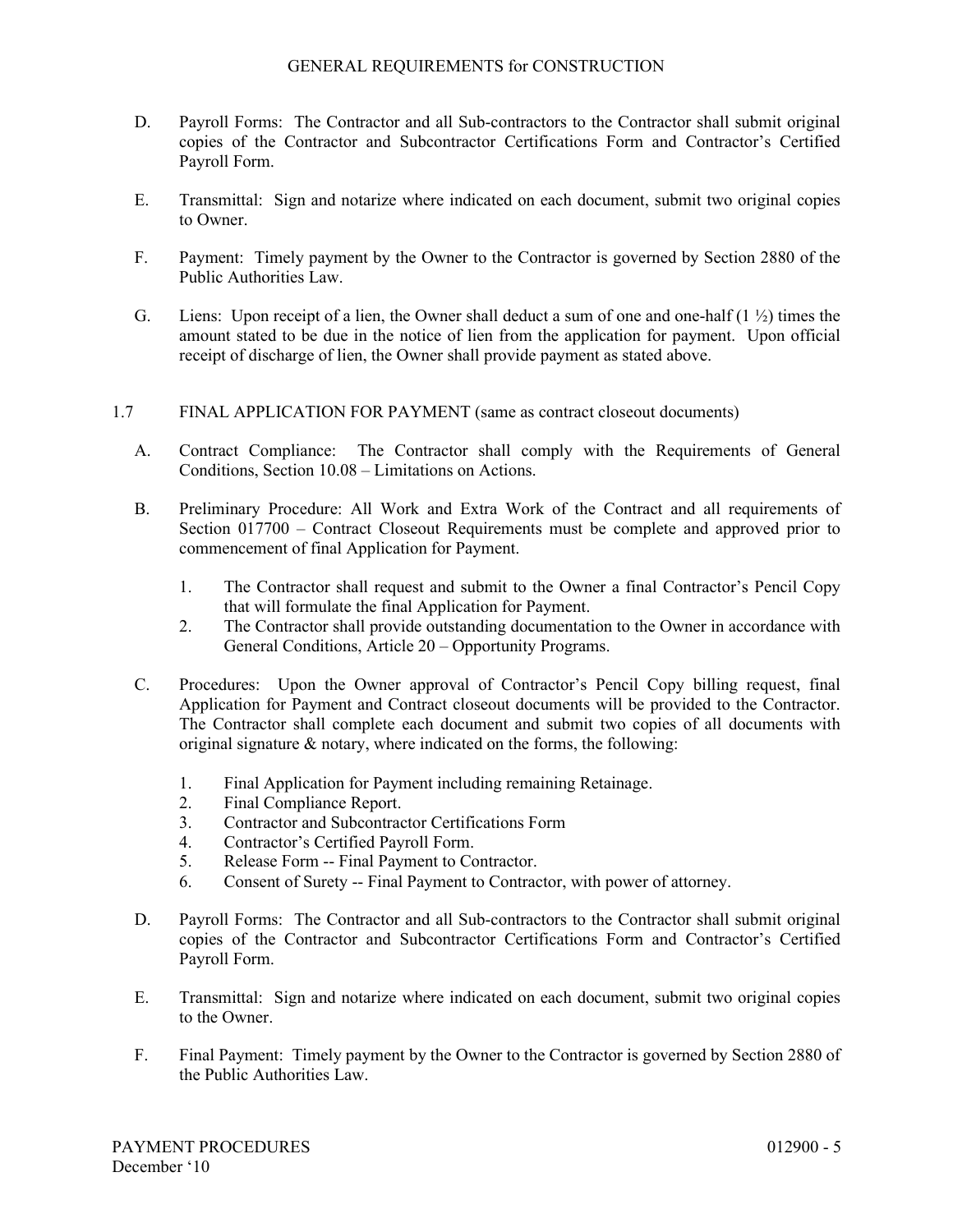- D. Payroll Forms: The Contractor and all Sub-contractors to the Contractor shall submit original copies of the Contractor and Subcontractor Certifications Form and Contractor's Certified Payroll Form.
- E. Transmittal: Sign and notarize where indicated on each document, submit two original copies to Owner.
- F. Payment: Timely payment by the Owner to the Contractor is governed by Section 2880 of the Public Authorities Law.
- G. Liens: Upon receipt of a lien, the Owner shall deduct a sum of one and one-half  $(1 \frac{1}{2})$  times the amount stated to be due in the notice of lien from the application for payment. Upon official receipt of discharge of lien, the Owner shall provide payment as stated above.
- 1.7 FINAL APPLICATION FOR PAYMENT (same as contract closeout documents)
	- A. Contract Compliance: The Contractor shall comply with the Requirements of General Conditions, Section 10.08 – Limitations on Actions.
	- B. Preliminary Procedure: All Work and Extra Work of the Contract and all requirements of Section 017700 – Contract Closeout Requirements must be complete and approved prior to commencement of final Application for Payment.
		- 1. The Contractor shall request and submit to the Owner a final Contractor's Pencil Copy that will formulate the final Application for Payment.
		- 2. The Contractor shall provide outstanding documentation to the Owner in accordance with General Conditions, Article 20 – Opportunity Programs.
	- C. Procedures: Upon the Owner approval of Contractor's Pencil Copy billing request, final Application for Payment and Contract closeout documents will be provided to the Contractor. The Contractor shall complete each document and submit two copies of all documents with original signature & notary, where indicated on the forms, the following:
		- 1. Final Application for Payment including remaining Retainage.
		- 2. Final Compliance Report.
		- 3. Contractor and Subcontractor Certifications Form
		- 4. Contractor's Certified Payroll Form.
		- 5. Release Form -- Final Payment to Contractor.
		- 6. Consent of Surety -- Final Payment to Contractor, with power of attorney.
	- D. Payroll Forms: The Contractor and all Sub-contractors to the Contractor shall submit original copies of the Contractor and Subcontractor Certifications Form and Contractor's Certified Payroll Form.
	- E. Transmittal: Sign and notarize where indicated on each document, submit two original copies to the Owner.
	- F. Final Payment: Timely payment by the Owner to the Contractor is governed by Section 2880 of the Public Authorities Law.